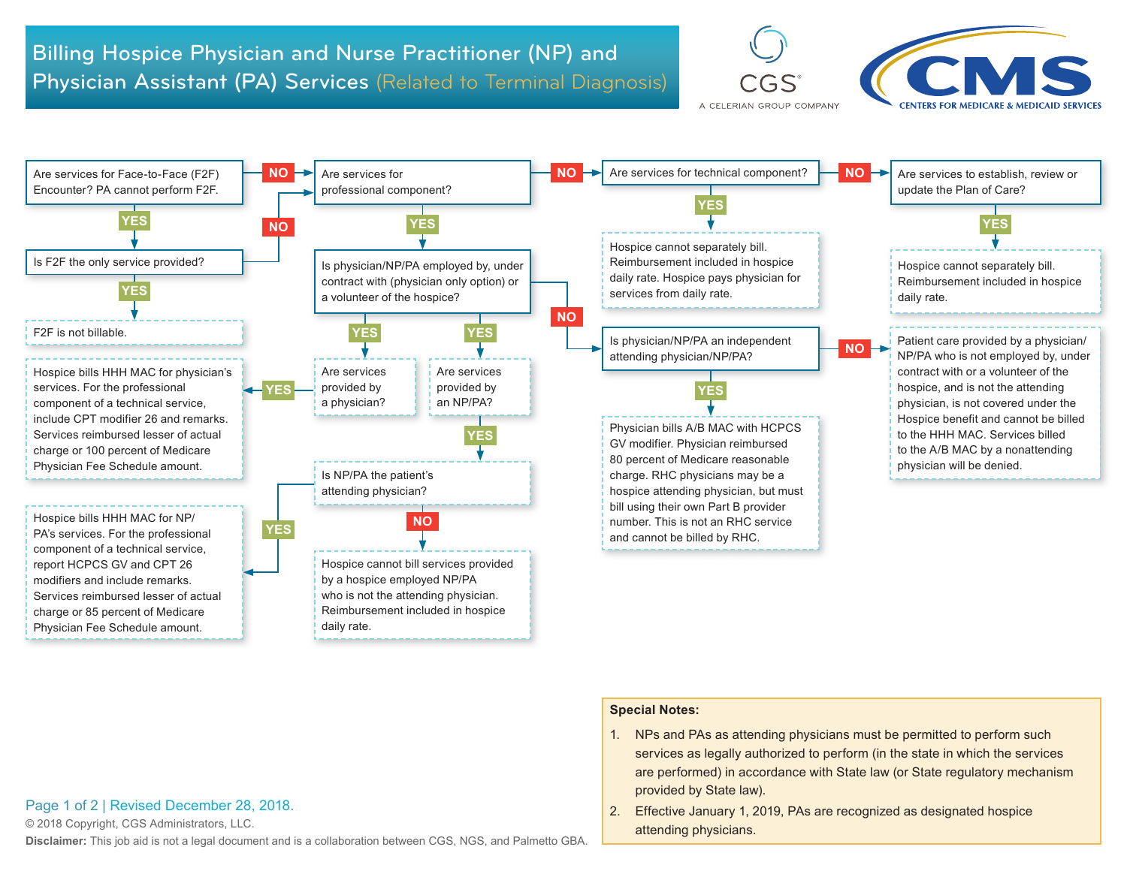





## **Special Notes:**

- 1. NPs and PAs as attending physicians must be permitted to perform such services as legally authorized to perform (in the state in which the services are performed) in accordance with State law (or State regulatory mechanism provided by State law).
- 2. Effective January 1, 2019, PAs are recognized as designated hospice attending physicians.

## Page 1 of 2 | Revised December 28, 2018.

© 2018 Copyright, CGS Administrators, LLC.

**Disclaimer:** This job aid is not a legal document and is a collaboration between CGS, NGS, and Palmetto GBA.